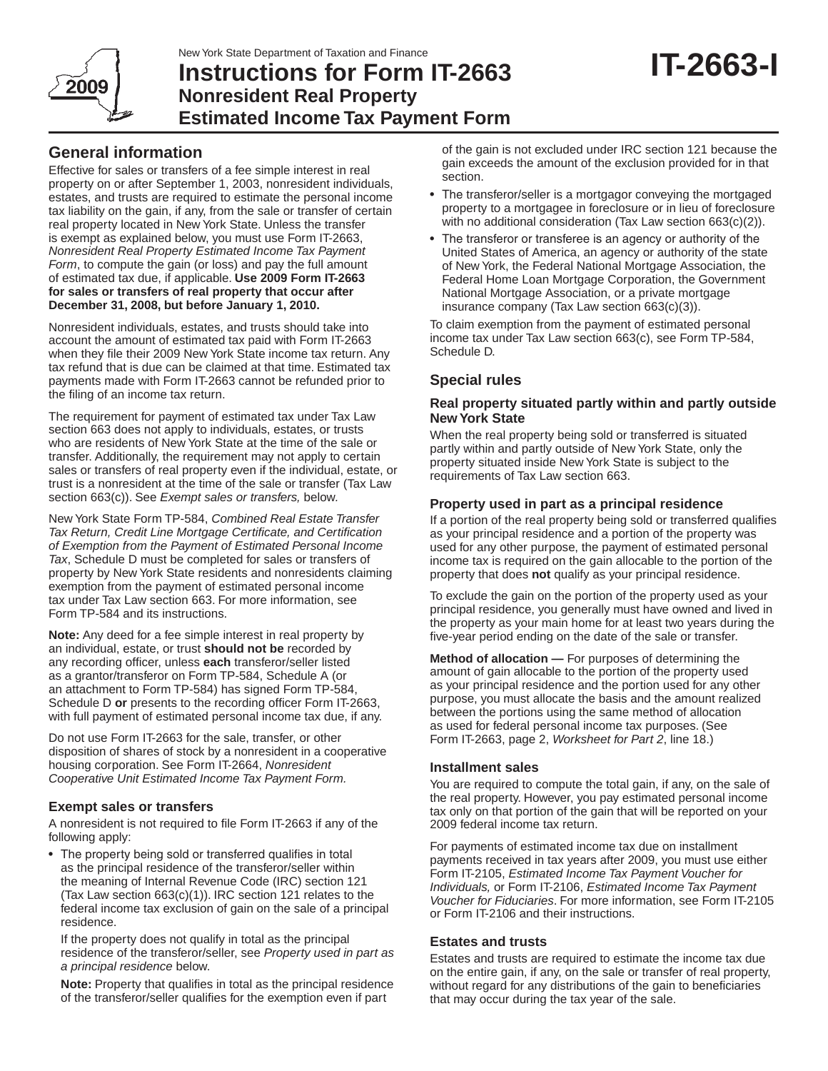

# **Instructions for Form IT-2663 Nonresident Real Property Estimated Income Tax Payment Form**

# **General information**

Effective for sales or transfers of a fee simple interest in real property on or after September 1, 2003, nonresident individuals, estates, and trusts are required to estimate the personal income tax liability on the gain, if any, from the sale or transfer of certain real property located in New York State. Unless the transfer is exempt as explained below, you must use Form IT-2663, *Nonresident Real Property Estimated Income Tax Payment Form*, to compute the gain (or loss) and pay the full amount of estimated tax due, if applicable. **Use 2009 Form IT‑2663 for sales or transfers of real property that occur after December 31, 2008, but before January 1, 2010.**

Nonresident individuals, estates, and trusts should take into account the amount of estimated tax paid with Form IT-2663 when they file their 2009 New York State income tax return. Any tax refund that is due can be claimed at that time. Estimated tax payments made with Form IT-2663 cannot be refunded prior to the filing of an income tax return.

The requirement for payment of estimated tax under Tax Law section 663 does not apply to individuals, estates, or trusts who are residents of New York State at the time of the sale or transfer. Additionally, the requirement may not apply to certain sales or transfers of real property even if the individual, estate, or trust is a nonresident at the time of the sale or transfer (Tax Law section 663(c)). See *Exempt sales or transfers,* below*.*

New York State Form TP-584, *Combined Real Estate Transfer Tax Return, Credit Line Mortgage Certificate, and Certification of Exemption from the Payment of Estimated Personal Income Tax*, Schedule D must be completed for sales or transfers of property by New York State residents and nonresidents claiming exemption from the payment of estimated personal income tax under Tax Law section 663. For more information, see Form TP-584 and its instructions.

**Note:** Any deed for a fee simple interest in real property by an individual, estate, or trust **should not be** recorded by any recording officer, unless **each** transferor/seller listed as a grantor/transferor on Form TP-584, Schedule A (or an attachment to Form TP-584) has signed Form TP-584, Schedule D **or** presents to the recording officer Form IT-2663, with full payment of estimated personal income tax due, if any.

Do not use Form IT-2663 for the sale, transfer, or other disposition of shares of stock by a nonresident in a cooperative housing corporation. See Form IT-2664, *Nonresident Cooperative Unit Estimated Income Tax Payment Form.*

## **Exempt sales or transfers**

A nonresident is not required to file Form IT-2663 if any of the following apply:

• The property being sold or transferred qualifies in total as the principal residence of the transferor/seller within the meaning of Internal Revenue Code (IRC) section 121 (Tax Law section 663(c)(1)). IRC section 121 relates to the federal income tax exclusion of gain on the sale of a principal residence.

If the property does not qualify in total as the principal residence of the transferor/seller, see *Property used in part as a principal residence* below.

**Note:** Property that qualifies in total as the principal residence of the transferor/seller qualifies for the exemption even if part

of the gain is not excluded under IRC section 121 because the gain exceeds the amount of the exclusion provided for in that section.

- The transferor/seller is a mortgagor conveying the mortgaged property to a mortgagee in foreclosure or in lieu of foreclosure with no additional consideration (Tax Law section 663(c)(2)).
- The transferor or transferee is an agency or authority of the United States of America, an agency or authority of the state of New York, the Federal National Mortgage Association, the Federal Home Loan Mortgage Corporation, the Government National Mortgage Association, or a private mortgage insurance company (Tax Law section 663(c)(3)).

To claim exemption from the payment of estimated personal income tax under Tax Law section 663(c), see Form TP-584, Schedule D.

# **Special rules**

#### **Real property situated partly within and partly outside New York State**

When the real property being sold or transferred is situated partly within and partly outside of New York State, only the property situated inside New York State is subject to the requirements of Tax Law section 663.

## **Property used in part as a principal residence**

If a portion of the real property being sold or transferred qualifies as your principal residence and a portion of the property was used for any other purpose, the payment of estimated personal income tax is required on the gain allocable to the portion of the property that does **not** qualify as your principal residence.

To exclude the gain on the portion of the property used as your principal residence, you generally must have owned and lived in the property as your main home for at least two years during the five-year period ending on the date of the sale or transfer.

**Method of allocation —** For purposes of determining the amount of gain allocable to the portion of the property used as your principal residence and the portion used for any other purpose, you must allocate the basis and the amount realized between the portions using the same method of allocation as used for federal personal income tax purposes. (See Form IT-2663, page 2, *Worksheet for Part 2*, line 18.)

## **Installment sales**

You are required to compute the total gain, if any, on the sale of the real property. However, you pay estimated personal income tax only on that portion of the gain that will be reported on your 2009 federal income tax return.

For payments of estimated income tax due on installment payments received in tax years after 2009, you must use either Form IT-2105, *Estimated Income Tax Payment Voucher for Individuals,* or Form IT-2106, *Estimated Income Tax Payment Voucher for Fiduciaries*. For more information, see Form IT-2105 or Form IT-2106 and their instructions.

## **Estates and trusts**

Estates and trusts are required to estimate the income tax due on the entire gain, if any, on the sale or transfer of real property, without regard for any distributions of the gain to beneficiaries that may occur during the tax year of the sale.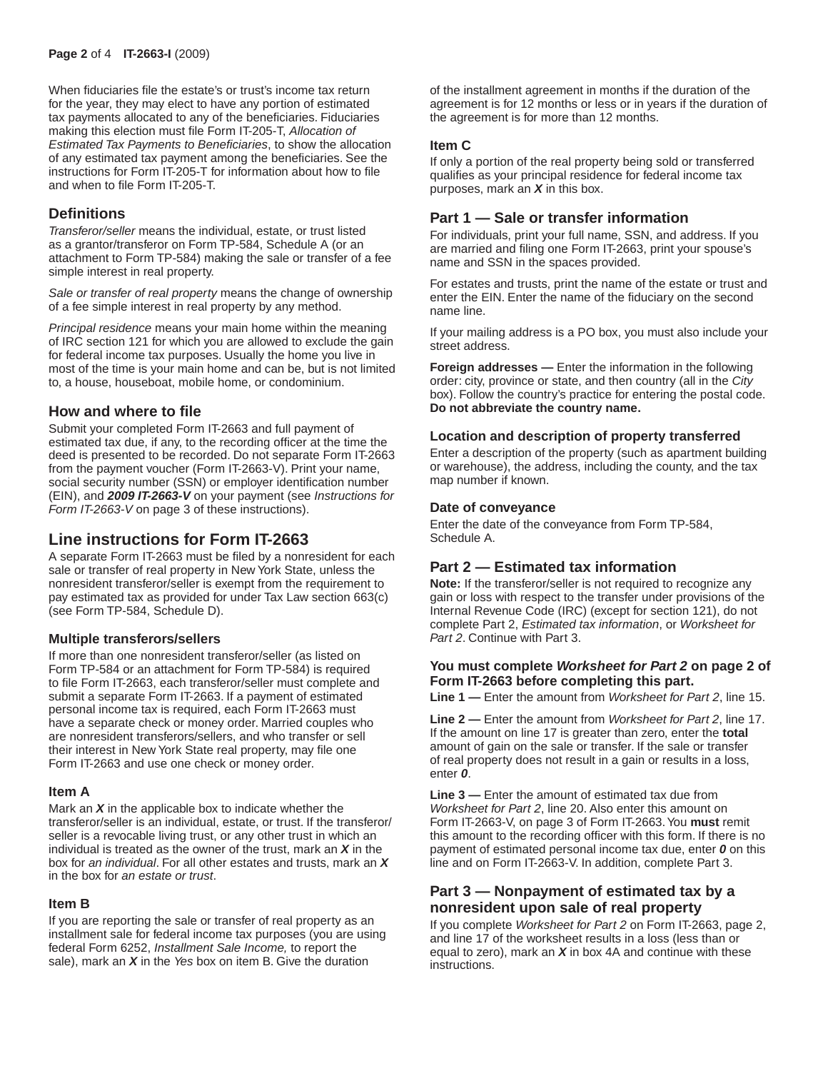When fiduciaries file the estate's or trust's income tax return for the year, they may elect to have any portion of estimated tax payments allocated to any of the beneficiaries. Fiduciaries making this election must file Form IT-205-T, *Allocation of Estimated Tax Payments to Beneficiaries*, to show the allocation of any estimated tax payment among the beneficiaries. See the instructions for Form IT-205-T for information about how to file and when to file Form IT-205-T.

## **Definitions**

*Transferor/seller* means the individual, estate, or trust listed as a grantor/transferor on Form TP-584, Schedule A (or an attachment to Form TP-584) making the sale or transfer of a fee simple interest in real property.

*Sale or transfer of real property* means the change of ownership of a fee simple interest in real property by any method.

*Principal residence* means your main home within the meaning of IRC section 121 for which you are allowed to exclude the gain for federal income tax purposes. Usually the home you live in most of the time is your main home and can be, but is not limited to, a house, houseboat, mobile home, or condominium.

## **How and where to file**

Submit your completed Form IT-2663 and full payment of estimated tax due, if any, to the recording officer at the time the deed is presented to be recorded. Do not separate Form IT-2663 from the payment voucher (Form IT-2663-V). Print your name, social security number (SSN) or employer identification number (EIN), and *2009 IT‑2663‑V* on your payment (see *Instructions for Form IT‑2663‑V* on page 3 of these instructions).

# **Line instructions for Form IT-2663**

A separate Form IT-2663 must be filed by a nonresident for each sale or transfer of real property in New York State, unless the nonresident transferor/seller is exempt from the requirement to pay estimated tax as provided for under Tax Law section 663(c) (see Form TP-584, Schedule D).

## **Multiple transferors/sellers**

If more than one nonresident transferor/seller (as listed on Form TP-584 or an attachment for Form TP-584) is required to file Form IT-2663, each transferor/seller must complete and submit a separate Form IT-2663. If a payment of estimated personal income tax is required, each Form IT-2663 must have a separate check or money order. Married couples who are nonresident transferors/sellers, and who transfer or sell their interest in New York State real property, may file one Form IT-2663 and use one check or money order.

#### **Item A**

Mark an *X* in the applicable box to indicate whether the transferor/seller is an individual, estate, or trust. If the transferor/ seller is a revocable living trust, or any other trust in which an individual is treated as the owner of the trust, mark an *X* in the box for *an individual*. For all other estates and trusts, mark an *X* in the box for *an estate or trust*.

#### **Item B**

If you are reporting the sale or transfer of real property as an installment sale for federal income tax purposes (you are using federal Form 6252, *Installment Sale Income,* to report the sale), mark an *X* in the *Yes* box on item B. Give the duration

of the installment agreement in months if the duration of the agreement is for 12 months or less or in years if the duration of the agreement is for more than 12 months.

#### **Item C**

If only a portion of the real property being sold or transferred qualifies as your principal residence for federal income tax purposes, mark an *X* in this box.

## **Part 1 — Sale or transfer information**

For individuals, print your full name, SSN, and address. If you are married and filing one Form IT-2663, print your spouse's name and SSN in the spaces provided.

For estates and trusts, print the name of the estate or trust and enter the EIN. Enter the name of the fiduciary on the second name line.

If your mailing address is a PO box, you must also include your street address.

**Foreign addresses —** Enter the information in the following order: city, province or state, and then country (all in the *City* box). Follow the country's practice for entering the postal code. **Do not abbreviate the country name.**

#### **Location and description of property transferred**

Enter a description of the property (such as apartment building or warehouse), the address, including the county, and the tax map number if known.

#### **Date of conveyance**

Enter the date of the conveyance from Form TP-584, Schedule A.

## **Part 2 — Estimated tax information**

**Note:** If the transferor/seller is not required to recognize any gain or loss with respect to the transfer under provisions of the Internal Revenue Code (IRC) (except for section 121), do not complete Part 2, *Estimated tax information*, or *Worksheet for Part 2*. Continue with Part 3.

#### **You must complete** *Worksheet for Part 2* **on page 2 of Form IT‑2663 before completing this part.**

**Line 1 —** Enter the amount from *Worksheet for Part 2*, line 15.

**Line 2 —** Enter the amount from *Worksheet for Part 2*, line 17. If the amount on line 17 is greater than zero, enter the **total** amount of gain on the sale or transfer. If the sale or transfer of real property does not result in a gain or results in a loss, enter *0*.

**Line 3 —** Enter the amount of estimated tax due from *Worksheet for Part 2*, line 20. Also enter this amount on Form IT-2663-V, on page 3 of Form IT-2663. You **must** remit this amount to the recording officer with this form. If there is no payment of estimated personal income tax due, enter *0* on this line and on Form IT-2663-V. In addition, complete Part 3.

## **Part 3 — Nonpayment of estimated tax by a nonresident upon sale of real property**

If you complete *Worksheet for Part 2* on Form IT-2663, page 2, and line 17 of the worksheet results in a loss (less than or equal to zero), mark an *X* in box 4A and continue with these instructions.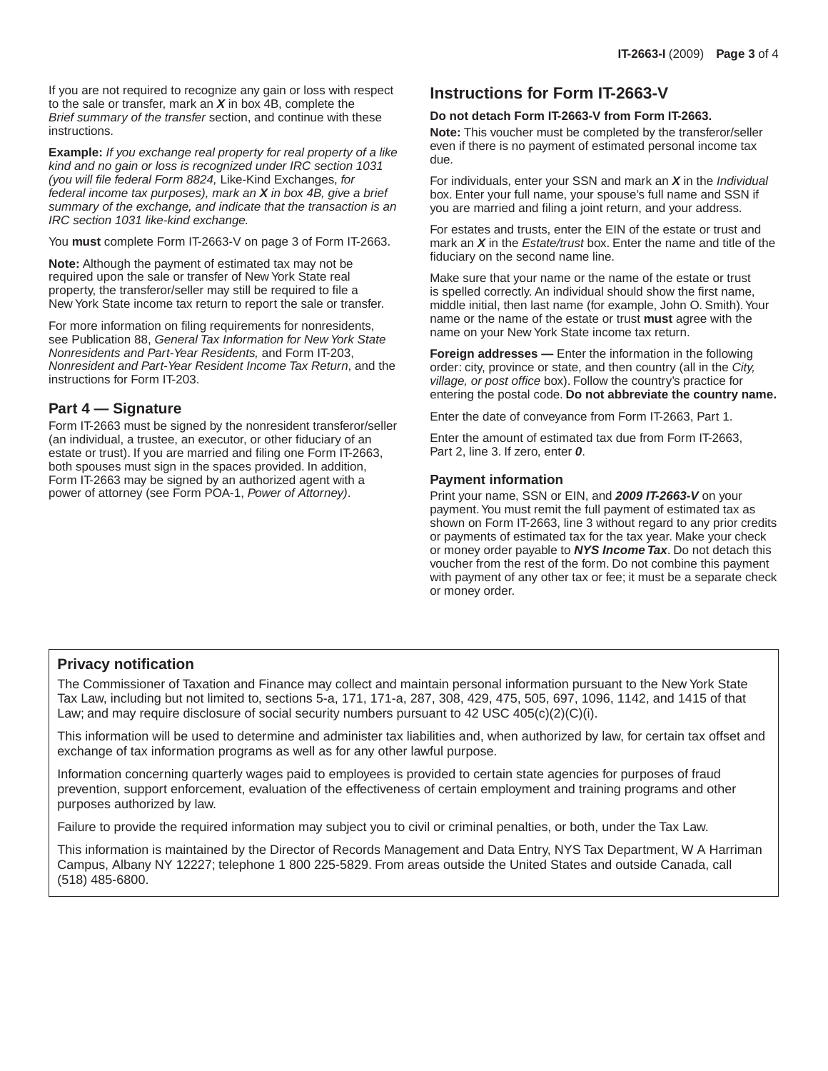If you are not required to recognize any gain or loss with respect to the sale or transfer, mark an *X* in box 4B, complete the *Brief summary of the transfer* section, and continue with these instructions.

**Example:** *If you exchange real property for real property of a like kind and no gain or loss is recognized under IRC section 1031 (you will file federal Form 8824,* Like-Kind Exchanges, *for federal income tax purposes), mark an X in box 4B, give a brief summary of the exchange, and indicate that the transaction is an IRC section 1031 like-kind exchange.*

You **must** complete Form IT-2663-V on page 3 of Form IT-2663.

**Note:** Although the payment of estimated tax may not be required upon the sale or transfer of New York State real property, the transferor/seller may still be required to file a New York State income tax return to report the sale or transfer.

For more information on filing requirements for nonresidents, see Publication 88, *General Tax Information for New York State Nonresidents and Part-Year Residents,* and Form IT-203, *Nonresident and Part-Year Resident Income Tax Return*, and the instructions for Form IT-203.

#### **Part 4 — Signature**

Form IT-2663 must be signed by the nonresident transferor/seller (an individual, a trustee, an executor, or other fiduciary of an estate or trust). If you are married and filing one Form IT-2663, both spouses must sign in the spaces provided. In addition, Form IT-2663 may be signed by an authorized agent with a power of attorney (see Form POA-1, *Power of Attorney)*.

# **Instructions for Form IT-2663-V**

#### **Do not detach Form IT-2663-V from Form IT-2663.**

**Note:** This voucher must be completed by the transferor/seller even if there is no payment of estimated personal income tax due.

For individuals, enter your SSN and mark an *X* in the *Individual*  box. Enter your full name, your spouse's full name and SSN if you are married and filing a joint return, and your address.

For estates and trusts, enter the EIN of the estate or trust and mark an *X* in the *Estate/trust* box. Enter the name and title of the fiduciary on the second name line.

Make sure that your name or the name of the estate or trust is spelled correctly. An individual should show the first name, middle initial, then last name (for example, John O. Smith). Your name or the name of the estate or trust **must** agree with the name on your New York State income tax return.

**Foreign addresses —** Enter the information in the following order: city, province or state, and then country (all in the *City, village, or post office* box). Follow the country's practice for entering the postal code. **Do not abbreviate the country name.**

Enter the date of conveyance from Form IT-2663, Part 1.

Enter the amount of estimated tax due from Form IT-2663, Part 2, line 3. If zero, enter *0*.

#### **Payment information**

Print your name, SSN or EIN, and *2009 IT-2663-V* on your payment. You must remit the full payment of estimated tax as shown on Form IT-2663, line 3 without regard to any prior credits or payments of estimated tax for the tax year. Make your check or money order payable to *NYS Income Tax*. Do not detach this voucher from the rest of the form. Do not combine this payment with payment of any other tax or fee; it must be a separate check or money order.

## **Privacy notification**

The Commissioner of Taxation and Finance may collect and maintain personal information pursuant to the New York State Tax Law, including but not limited to, sections 5-a, 171, 171-a, 287, 308, 429, 475, 505, 697, 1096, 1142, and 1415 of that Law; and may require disclosure of social security numbers pursuant to 42 USC  $405(c)(2)(c)(i)$ .

This information will be used to determine and administer tax liabilities and, when authorized by law, for certain tax offset and exchange of tax information programs as well as for any other lawful purpose.

Information concerning quarterly wages paid to employees is provided to certain state agencies for purposes of fraud prevention, support enforcement, evaluation of the effectiveness of certain employment and training programs and other purposes authorized by law.

Failure to provide the required information may subject you to civil or criminal penalties, or both, under the Tax Law.

This information is maintained by the Director of Records Management and Data Entry, NYS Tax Department, W A Harriman Campus, Albany NY 12227; telephone 1 800 225-5829. From areas outside the United States and outside Canada, call (518) 485-6800.